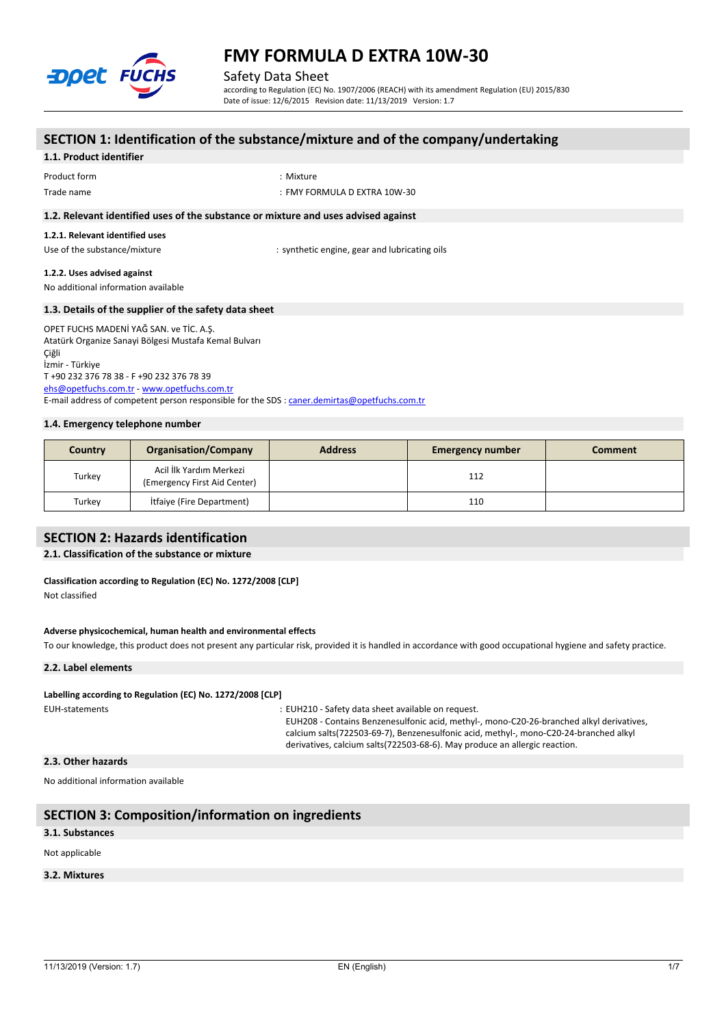

Safety Data Sheet

according to Regulation (EC) No. 1907/2006 (REACH) with its amendment Regulation (EU) 2015/830 Date of issue: 12/6/2015 Revision date: 11/13/2019 Version: 1.7

## **SECTION 1: Identification of the substance/mixture and of the company/undertaking 1.1. Product identifier** Product form  $\blacksquare$  : Mixture Trade name : FMY FORMULA D EXTRA 10W-30 **1.2. Relevant identified uses of the substance or mixture and uses advised against 1.2.1. Relevant identified uses** Use of the substance/mixture in the substance of the substance of the substance of the substance of the substance of the substance of the substance of the substance of the substance of the substance of the substance of the **1.2.2. Uses advised against** No additional information available **1.3. Details of the supplier of the safety data sheet** OPET FUCHS MADENİ YAĞ SAN. ve TİC. A.Ş. Atatürk Organize Sanayi Bölgesi Mustafa Kemal Bulvarı Çiğli İzmir - Türkiye T +90 232 376 78 38 - F +90 232 376 78 39 [ehs@opetfuchs.com.tr](mailto:ehs@opetfuchs.com.tr) - <www.opetfuchs.com.tr> E-mail address of competent person responsible for the SDS : [caner.demirtas@opetfuchs.com.tr](mailto:caner.demirtas@opetfuchs.com.tr)

#### **1.4. Emergency telephone number**

| Country | <b>Organisation/Company</b>                             | <b>Address</b> | <b>Emergency number</b> | <b>Comment</b> |
|---------|---------------------------------------------------------|----------------|-------------------------|----------------|
| Turkey  | Acil İlk Yardım Merkezi<br>(Emergency First Aid Center) |                | 112                     |                |
| Turkey  | <b>Itfaiye (Fire Department)</b>                        |                | 110                     |                |

### **SECTION 2: Hazards identification**

#### **2.1. Classification of the substance or mixture**

### **Classification according to Regulation (EC) No. 1272/2008 [CLP]**

Not classified

#### **Adverse physicochemical, human health and environmental effects**

To our knowledge, this product does not present any particular risk, provided it is handled in accordance with good occupational hygiene and safety practice.

#### **2.2. Label elements**

#### **Labelling** according to Regulation (EC) No. 1272/2008 [CLP]

EUH-statements : EUH210 - Safety data sheet available on request.

EUH208 - Contains Benzenesulfonic acid, methyl-, mono-C20-26-branched alkyl derivatives, calcium salts(722503-69-7), Benzenesulfonic acid, methyl-, mono-C20-24-branched alkyl derivatives, calcium salts(722503-68-6). May produce an allergic reaction.

#### **2.3. Other hazards**

No additional information available

## **SECTION 3: Composition/information on ingredients**

## **3.1. Substances**

#### Not applicable

#### **3.2. Mixtures**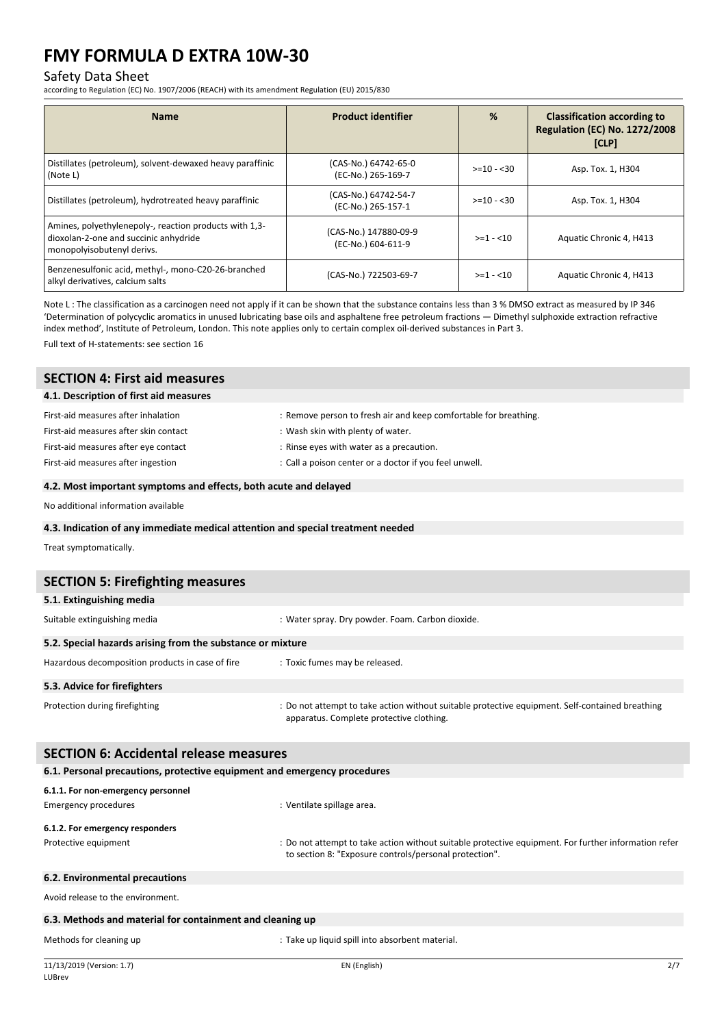## Safety Data Sheet

according to Regulation (EC) No. 1907/2006 (REACH) with its amendment Regulation (EU) 2015/830

| <b>Name</b>                                                                                                                   | <b>Product identifier</b>                   | %            | <b>Classification according to</b><br><b>Regulation (EC) No. 1272/2008</b><br>[CLP] |
|-------------------------------------------------------------------------------------------------------------------------------|---------------------------------------------|--------------|-------------------------------------------------------------------------------------|
| Distillates (petroleum), solvent-dewaxed heavy paraffinic<br>(Note L)                                                         | (CAS-No.) 64742-65-0<br>(EC-No.) 265-169-7  | $>= 10 - 30$ | Asp. Tox. 1, H304                                                                   |
| Distillates (petroleum), hydrotreated heavy paraffinic                                                                        | (CAS-No.) 64742-54-7<br>(EC-No.) 265-157-1  | $>= 10 - 30$ | Asp. Tox. 1, H304                                                                   |
| Amines, polyethylenepoly-, reaction products with 1,3-<br>dioxolan-2-one and succinic anhydride<br>monopolyisobutenyl derivs. | (CAS-No.) 147880-09-9<br>(EC-No.) 604-611-9 | $>=1 - 10$   | Aquatic Chronic 4, H413                                                             |
| Benzenesulfonic acid, methyl-, mono-C20-26-branched<br>alkyl derivatives, calcium salts                                       | (CAS-No.) 722503-69-7                       | $>=1 - 10$   | Aquatic Chronic 4, H413                                                             |

Note L: The classification as a carcinogen need not apply if it can be shown that the substance contains less than 3 % DMSO extract as measured by IP 346 'Determination of polycyclic aromatics in unused lubricating base oils and asphaltene free petroleum fractions — Dimethyl sulphoxide extraction refractive index method', Institute of Petroleum, London. This note applies only to certain complex oil-derived substances in Part 3.

Full text of H-statements: see section 16

| <b>SECTION 4: First aid measures</b>   |                                                                  |  |
|----------------------------------------|------------------------------------------------------------------|--|
| 4.1. Description of first aid measures |                                                                  |  |
| First-aid measures after inhalation    | : Remove person to fresh air and keep comfortable for breathing. |  |
| First-aid measures after skin contact  | : Wash skin with plenty of water.                                |  |
| First-aid measures after eye contact   | : Rinse eyes with water as a precaution.                         |  |
| First-aid measures after ingestion     | : Call a poison center or a doctor if you feel unwell.           |  |
|                                        |                                                                  |  |

#### **4.2. Most important symptoms and effects, both acute and delayed**

No additional information available

#### **4.3. Indication of any immediate medical attention and special treatment needed**

Treat symptomatically.

| <b>SECTION 5: Firefighting measures</b>                    |                                                                                                                                             |  |  |  |
|------------------------------------------------------------|---------------------------------------------------------------------------------------------------------------------------------------------|--|--|--|
| 5.1. Extinguishing media                                   |                                                                                                                                             |  |  |  |
| Suitable extinguishing media                               | : Water spray. Dry powder. Foam. Carbon dioxide.                                                                                            |  |  |  |
| 5.2. Special hazards arising from the substance or mixture |                                                                                                                                             |  |  |  |
| Hazardous decomposition products in case of fire           | : Toxic fumes may be released.                                                                                                              |  |  |  |
| 5.3. Advice for firefighters                               |                                                                                                                                             |  |  |  |
| Protection during firefighting                             | : Do not attempt to take action without suitable protective equipment. Self-contained breathing<br>apparatus. Complete protective clothing. |  |  |  |

| <b>SECTION 6: Accidental release measures</b>                            |                                                                                                                                                                |  |  |
|--------------------------------------------------------------------------|----------------------------------------------------------------------------------------------------------------------------------------------------------------|--|--|
| 6.1. Personal precautions, protective equipment and emergency procedures |                                                                                                                                                                |  |  |
| 6.1.1. For non-emergency personnel                                       |                                                                                                                                                                |  |  |
| Emergency procedures                                                     | : Ventilate spillage area.                                                                                                                                     |  |  |
| 6.1.2. For emergency responders                                          |                                                                                                                                                                |  |  |
| Protective equipment                                                     | : Do not attempt to take action without suitable protective equipment. For further information refer<br>to section 8: "Exposure controls/personal protection". |  |  |
| 6.2. Environmental precautions                                           |                                                                                                                                                                |  |  |
| Avoid release to the environment.                                        |                                                                                                                                                                |  |  |

#### **6.3. Methods and material for containment and cleaning up**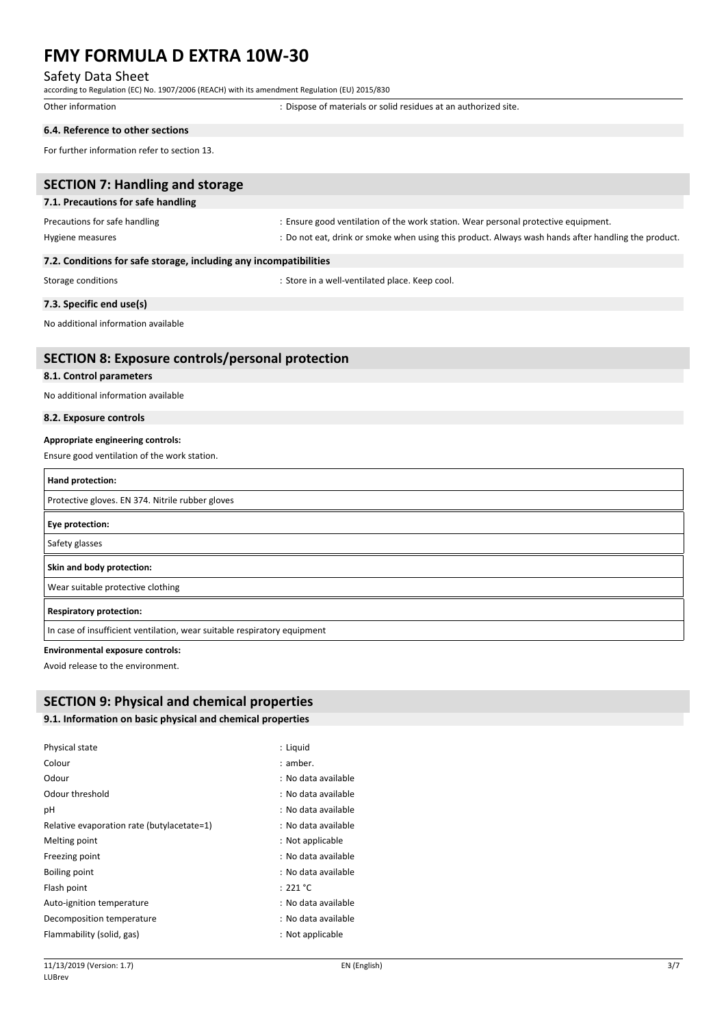## Safety Data Sheet

according to Regulation (EC) No. 1907/2006 (REACH) with its amendment Regulation (EU) 2015/830

Other information  $\qquad \qquad$ : Dispose of materials or solid residues at an authorized site.

### **6.4. Reference to other sections**

For further information refer to section 13.

| <b>SECTION 7: Handling and storage</b>                                   |                                                                                                     |
|--------------------------------------------------------------------------|-----------------------------------------------------------------------------------------------------|
| 7.1. Precautions for safe handling                                       |                                                                                                     |
| Precautions for safe handling                                            | : Ensure good ventilation of the work station. Wear personal protective equipment.                  |
| Hygiene measures                                                         | : Do not eat, drink or smoke when using this product. Always wash hands after handling the product. |
| 7.2. Conditions for safe storage, including any incompatibilities        |                                                                                                     |
| Storage conditions                                                       | : Store in a well-ventilated place. Keep cool.                                                      |
| 7.3. Specific end use(s)                                                 |                                                                                                     |
| No additional information available                                      |                                                                                                     |
| <b>SECTION 8: Exposure controls/personal protection</b>                  |                                                                                                     |
| 8.1. Control parameters                                                  |                                                                                                     |
| No additional information available                                      |                                                                                                     |
| 8.2. Exposure controls                                                   |                                                                                                     |
| Appropriate engineering controls:                                        |                                                                                                     |
| Ensure good ventilation of the work station.                             |                                                                                                     |
| Hand protection:                                                         |                                                                                                     |
| Protective gloves. EN 374. Nitrile rubber gloves                         |                                                                                                     |
| Eye protection:                                                          |                                                                                                     |
| Safety glasses                                                           |                                                                                                     |
| Skin and body protection:                                                |                                                                                                     |
| Wear suitable protective clothing                                        |                                                                                                     |
| <b>Respiratory protection:</b>                                           |                                                                                                     |
| In case of insufficient ventilation, wear suitable respiratory equipment |                                                                                                     |
| <b>Environmental exposure controls:</b>                                  |                                                                                                     |

Avoid release to the environment.

## **SECTION 9: Physical and chemical properties**

#### **9.1. Information on basic physical and chemical properties**

| Physical state                             | : Liquid            |
|--------------------------------------------|---------------------|
| Colour                                     | : amber.            |
| Odour                                      | : No data available |
| Odour threshold                            | : No data available |
| рH                                         | : No data available |
| Relative evaporation rate (butylacetate=1) | : No data available |
| Melting point                              | : Not applicable    |
| Freezing point                             | : No data available |
| Boiling point                              | : No data available |
| Flash point                                | : 221 °C            |
| Auto-ignition temperature                  | : No data available |
| Decomposition temperature                  | : No data available |
| Flammability (solid, gas)                  | : Not applicable    |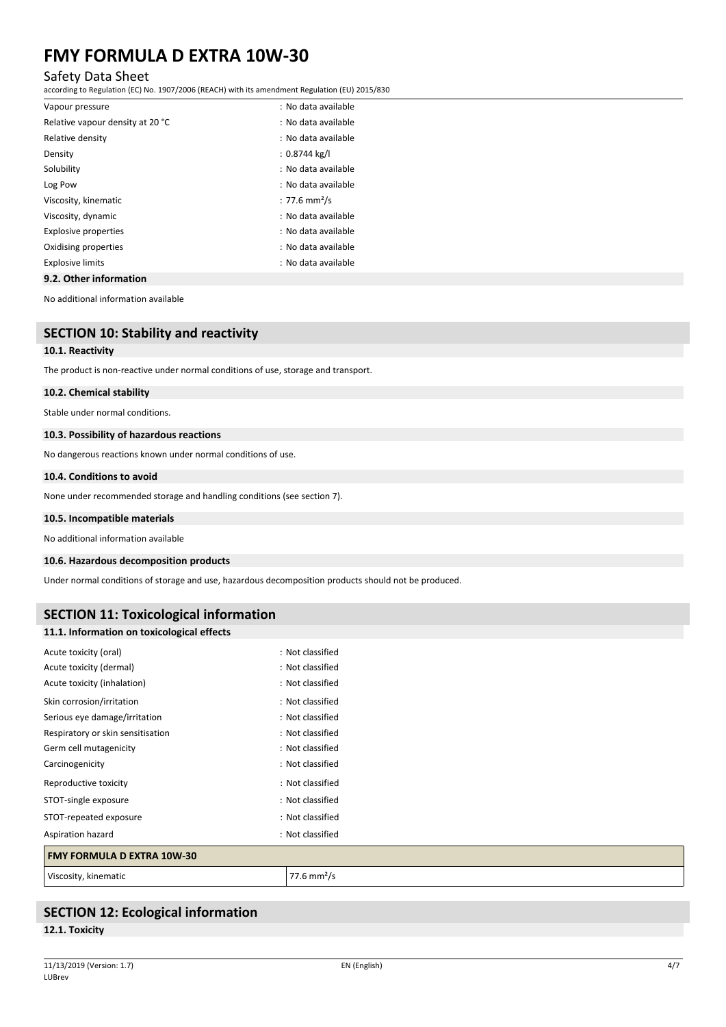### Safety Data Sheet

according to Regulation (EC) No. 1907/2006 (REACH) with its amendment Regulation (EU) 2015/830

| 9.2. Other information           |                           |
|----------------------------------|---------------------------|
| <b>Explosive limits</b>          | : No data available       |
| Oxidising properties             | : No data available       |
| <b>Explosive properties</b>      | : No data available       |
| Viscosity, dynamic               | : No data available       |
| Viscosity, kinematic             | : 77.6 mm <sup>2</sup> /s |
| Log Pow                          | : No data available       |
| Solubility                       | : No data available       |
| Density                          | $: 0.8744$ kg/l           |
| Relative density                 | : No data available       |
| Relative vapour density at 20 °C | : No data available       |
| Vapour pressure                  | : No data available       |

No additional information available

## **SECTION 10: Stability and reactivity**

#### **10.1. Reactivity**

The product is non-reactive under normal conditions of use, storage and transport.

#### **10.2. Chemical stability**

Stable under normal conditions.

#### **10.3. Possibility of hazardous reactions**

No dangerous reactions known under normal conditions of use.

#### **10.4. Conditions to avoid**

None under recommended storage and handling conditions (see section 7).

#### **10.5. Incompatible materials**

No additional information available

#### **10.6. Hazardous decomposition products**

Under normal conditions of storage and use, hazardous decomposition products should not be produced.

### **SECTION 11: Toxicological information**

#### **11.1. Information on toxicological effects**

| <b>FMY FORMULA D EXTRA 10W-30</b> |                  |
|-----------------------------------|------------------|
| Aspiration hazard                 | : Not classified |
| STOT-repeated exposure            | : Not classified |
| STOT-single exposure              | : Not classified |
| Reproductive toxicity             | : Not classified |
| Carcinogenicity                   | : Not classified |
| Germ cell mutagenicity            | : Not classified |
| Respiratory or skin sensitisation | : Not classified |
| Serious eye damage/irritation     | : Not classified |
| Skin corrosion/irritation         | : Not classified |
| Acute toxicity (inhalation)       | : Not classified |
| Acute toxicity (dermal)           | : Not classified |
| Acute toxicity (oral)             | : Not classified |

Viscosity, kinematic and a state of the Viscosity of the Viscosity of the Viscosity of the Viscosity of the Vi

## **SECTION 12: Ecological information**

#### **12.1. Toxicity**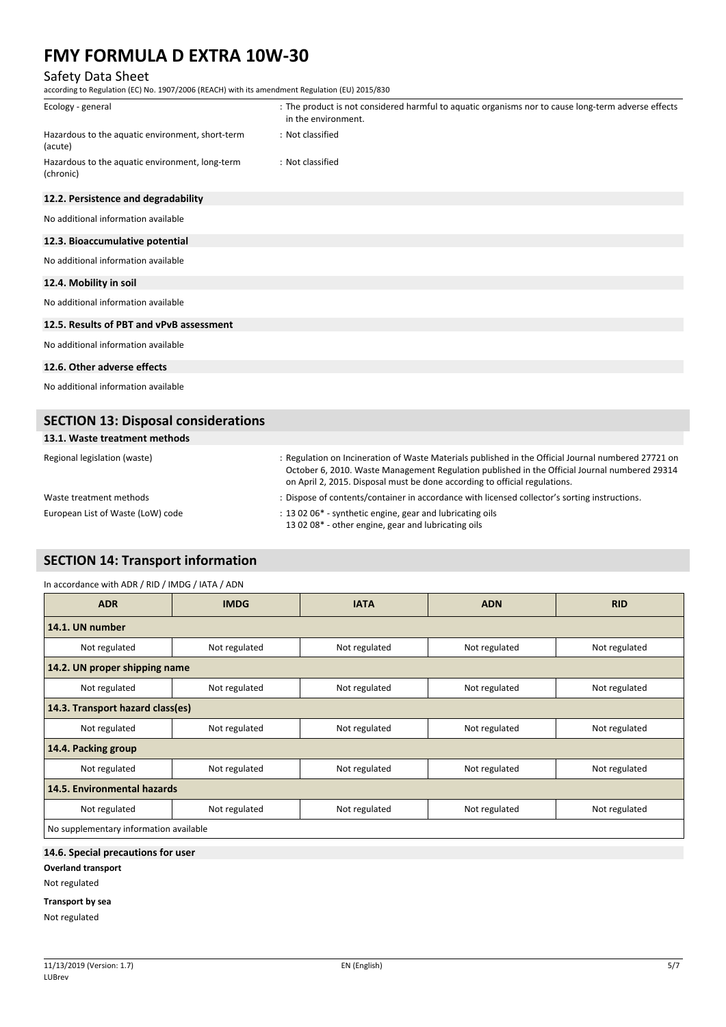## Safety Data Sheet

according to Regulation (EC) No. 1907/2006 (REACH) with its amendment Regulation (EU) 2015/830

| Ecology - general                                            | : The product is not considered harmful to aquatic organisms nor to cause long-term adverse effects<br>in the environment. |
|--------------------------------------------------------------|----------------------------------------------------------------------------------------------------------------------------|
| Hazardous to the aquatic environment, short-term<br>(acute)  | : Not classified                                                                                                           |
| Hazardous to the aquatic environment, long-term<br>(chronic) | : Not classified                                                                                                           |
| 12.2. Persistence and degradability                          |                                                                                                                            |
| No additional information available                          |                                                                                                                            |
| 12.3. Bioaccumulative potential                              |                                                                                                                            |
| No additional information available                          |                                                                                                                            |
| 12.4. Mobility in soil                                       |                                                                                                                            |
| No additional information available                          |                                                                                                                            |
| 12.5. Results of PBT and vPvB assessment                     |                                                                                                                            |
| No additional information available                          |                                                                                                                            |
| 12.6. Other adverse effects                                  |                                                                                                                            |
| No additional information available                          |                                                                                                                            |
| <b>SECTION 13: Disposal considerations</b>                   |                                                                                                                            |

## **13.1. Waste treatment methods**

| Regional legislation (waste)      | . Regulation on Incineration of Waste Materials published in the Official Journal numbered 27721 on<br>October 6, 2010. Waste Management Regulation published in the Official Journal numbered 29314<br>on April 2, 2015. Disposal must be done according to official regulations. |
|-----------------------------------|------------------------------------------------------------------------------------------------------------------------------------------------------------------------------------------------------------------------------------------------------------------------------------|
| Waste treatment methods           | : Dispose of contents/container in accordance with licensed collector's sorting instructions.                                                                                                                                                                                      |
| European List of Waste (LoW) code | : 13 02 06* - synthetic engine, gear and lubricating oils<br>13 02 08* - other engine, gear and lubricating oils                                                                                                                                                                   |

## **SECTION 14: Transport information**

#### In accordance with ADR / RID / IMDG / IATA / ADN

| <b>ADR</b>                             | <b>IMDG</b>                      | <b>IATA</b>   | <b>ADN</b>    | <b>RID</b>    |  |
|----------------------------------------|----------------------------------|---------------|---------------|---------------|--|
| 14.1. UN number                        |                                  |               |               |               |  |
| Not regulated                          | Not regulated                    | Not regulated | Not regulated | Not regulated |  |
| 14.2. UN proper shipping name          |                                  |               |               |               |  |
| Not regulated                          | Not regulated                    | Not regulated | Not regulated | Not regulated |  |
|                                        | 14.3. Transport hazard class(es) |               |               |               |  |
| Not regulated                          | Not regulated                    | Not regulated | Not regulated | Not regulated |  |
| 14.4. Packing group                    |                                  |               |               |               |  |
| Not regulated                          | Not regulated                    | Not regulated | Not regulated | Not regulated |  |
| 14.5. Environmental hazards            |                                  |               |               |               |  |
| Not regulated                          | Not regulated                    | Not regulated | Not regulated | Not regulated |  |
| No supplementary information available |                                  |               |               |               |  |

### **14.6. Special precautions for user**

**Overland transport**

Not regulated

#### **Transport by sea**

Not regulated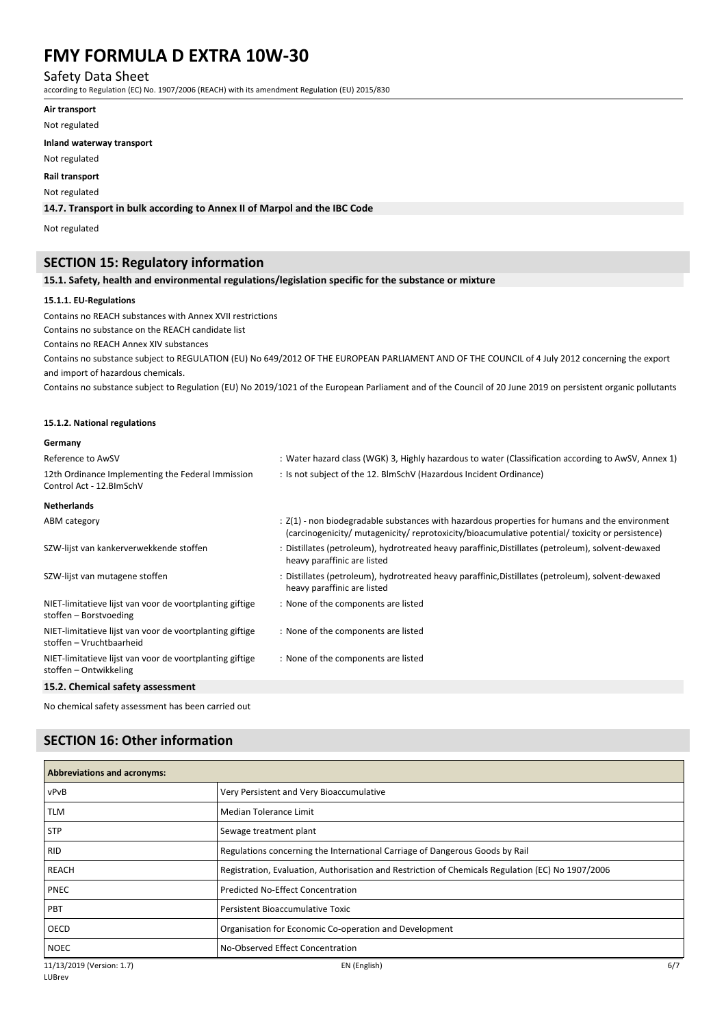### Safety Data Sheet

according to Regulation (EC) No. 1907/2006 (REACH) with its amendment Regulation (EU) 2015/830

**Air transport**

Not regulated

#### **Inland waterway transport**

Not regulated

#### **Rail transport**

#### Not regulated

#### **14.7. Transport in bulk according to Annex II of Marpol and the IBC Code**

Not regulated

## **SECTION 15: Regulatory information**

#### **15.1. Safety, health and environmental regulations/legislation specific for the substance or mixture**

#### **15.1.1. EU-Regulations**

Contains no REACH substances with Annex XVII restrictions

Contains no substance on the REACH candidate list

Contains no REACH Annex XIV substances

Contains no substance subject to REGULATION (EU) No 649/2012 OF THE EUROPEAN PARLIAMENT AND OF THE COUNCIL of 4 July 2012 concerning the export and import of hazardous chemicals.

Contains no substance subject to Regulation (EU) No 2019/1021 of the European Parliament and of the Council of 20 June 2019 on persistent organic pollutants

#### **15.1.2. National regulations**

#### **Germany**

| Reference to AwSV                                                                    | : Water hazard class (WGK) 3, Highly hazardous to water (Classification according to AwSV, Annex 1)                                                                                                |
|--------------------------------------------------------------------------------------|----------------------------------------------------------------------------------------------------------------------------------------------------------------------------------------------------|
| 12th Ordinance Implementing the Federal Immission<br>Control Act - 12. BlmSchV       | : Is not subject of the 12. BlmSchV (Hazardous Incident Ordinance)                                                                                                                                 |
| <b>Netherlands</b>                                                                   |                                                                                                                                                                                                    |
| ABM category                                                                         | : Z(1) - non biodegradable substances with hazardous properties for humans and the environment<br>(carcinogenicity/ mutagenicity/ reprotoxicity/bioacumulative potential/ toxicity or persistence) |
| SZW-lijst van kankerverwekkende stoffen                                              | : Distillates (petroleum), hydrotreated heavy paraffinic, Distillates (petroleum), solvent-dewaxed<br>heavy paraffinic are listed                                                                  |
| SZW-lijst van mutagene stoffen                                                       | : Distillates (petroleum), hydrotreated heavy paraffinic, Distillates (petroleum), solvent-dewaxed<br>heavy paraffinic are listed                                                                  |
| NIET-limitatieve lijst van voor de voortplanting giftige<br>stoffen – Borstvoeding   | : None of the components are listed                                                                                                                                                                |
| NIET-limitatieve lijst van voor de voortplanting giftige<br>stoffen – Vruchtbaarheid | : None of the components are listed                                                                                                                                                                |
| NIET-limitatieve lijst van voor de voortplanting giftige<br>stoffen - Ontwikkeling   | : None of the components are listed                                                                                                                                                                |
| 15.2. Chemical safety assessment                                                     |                                                                                                                                                                                                    |

No chemical safety assessment has been carried out

## **SECTION 16: Other information**

| <b>Abbreviations and acronyms:</b> |                                                                                                   |     |
|------------------------------------|---------------------------------------------------------------------------------------------------|-----|
| vPvB                               | Very Persistent and Very Bioaccumulative                                                          |     |
| TLM                                | Median Tolerance Limit                                                                            |     |
| <b>STP</b>                         | Sewage treatment plant                                                                            |     |
| <b>RID</b>                         | Regulations concerning the International Carriage of Dangerous Goods by Rail                      |     |
| REACH                              | Registration, Evaluation, Authorisation and Restriction of Chemicals Regulation (EC) No 1907/2006 |     |
| PNEC                               | <b>Predicted No-Effect Concentration</b>                                                          |     |
| PBT                                | Persistent Bioaccumulative Toxic                                                                  |     |
| OECD                               | Organisation for Economic Co-operation and Development                                            |     |
| <b>NOEC</b>                        | No-Observed Effect Concentration                                                                  |     |
| 11/13/2019 (Version: 1.7)          | EN (English)                                                                                      | 6/7 |